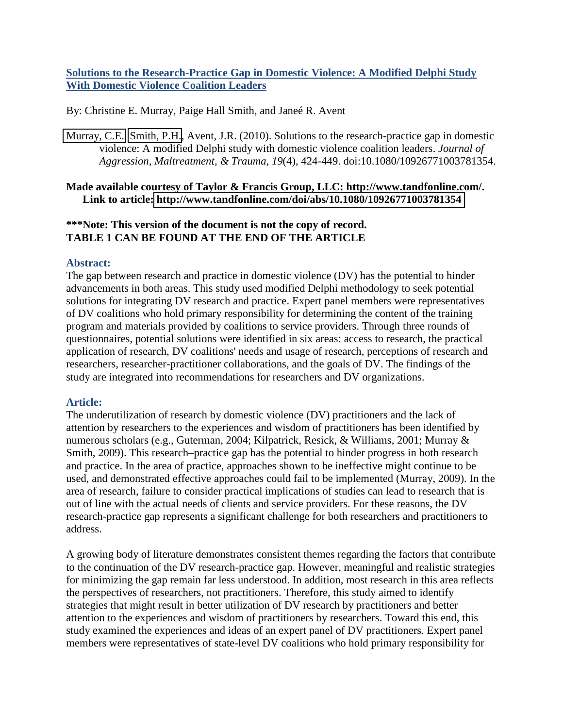# **Solutions to the Research-Practice Gap in Domestic Violence: A Modified Delphi Study With Domestic Violence Coalition Leaders**

By: Christine E. Murray, Paige Hall Smith, and Janeé R. Avent

[Murray, C.E.,](http://libres.uncg.edu/ir/clist.aspx?id=894) [Smith, P.H.,](http://libres.uncg.edu/ir/clist.aspx?id=1606) Avent, J.R. (2010). Solutions to the research-practice gap in domestic violence: A modified Delphi study with domestic violence coalition leaders. *Journal of Aggression, Maltreatment, & Trauma, 19*(4), 424-449. doi:10.1080/10926771003781354.

# **Made available courtesy of Taylor & Francis Group, LLC: http://www.tandfonline.com/. Link to article:<http://www.tandfonline.com/doi/abs/10.1080/10926771003781354>**

# **\*\*\*Note: This version of the document is not the copy of record. TABLE 1 CAN BE FOUND AT THE END OF THE ARTICLE**

## **Abstract:**

The gap between research and practice in domestic violence (DV) has the potential to hinder advancements in both areas. This study used modified Delphi methodology to seek potential solutions for integrating DV research and practice. Expert panel members were representatives of DV coalitions who hold primary responsibility for determining the content of the training program and materials provided by coalitions to service providers. Through three rounds of questionnaires, potential solutions were identified in six areas: access to research, the practical application of research, DV coalitions' needs and usage of research, perceptions of research and researchers, researcher-practitioner collaborations, and the goals of DV. The findings of the study are integrated into recommendations for researchers and DV organizations.

#### **Article:**

The underutilization of research by domestic violence (DV) practitioners and the lack of attention by researchers to the experiences and wisdom of practitioners has been identified by numerous scholars (e.g., Guterman, 2004; Kilpatrick, Resick, & Williams, 2001; Murray & Smith, 2009). This research–practice gap has the potential to hinder progress in both research and practice. In the area of practice, approaches shown to be ineffective might continue to be used, and demonstrated effective approaches could fail to be implemented (Murray, 2009). In the area of research, failure to consider practical implications of studies can lead to research that is out of line with the actual needs of clients and service providers. For these reasons, the DV research-practice gap represents a significant challenge for both researchers and practitioners to address.

A growing body of literature demonstrates consistent themes regarding the factors that contribute to the continuation of the DV research-practice gap. However, meaningful and realistic strategies for minimizing the gap remain far less understood. In addition, most research in this area reflects the perspectives of researchers, not practitioners. Therefore, this study aimed to identify strategies that might result in better utilization of DV research by practitioners and better attention to the experiences and wisdom of practitioners by researchers. Toward this end, this study examined the experiences and ideas of an expert panel of DV practitioners. Expert panel members were representatives of state-level DV coalitions who hold primary responsibility for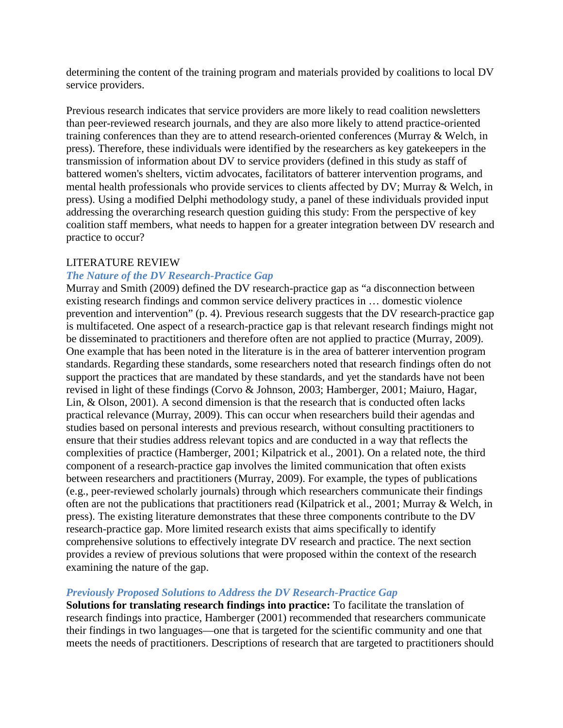determining the content of the training program and materials provided by coalitions to local DV service providers.

Previous research indicates that service providers are more likely to read coalition newsletters than peer-reviewed research journals, and they are also more likely to attend practice-oriented training conferences than they are to attend research-oriented conferences (Murray & Welch, in press). Therefore, these individuals were identified by the researchers as key gatekeepers in the transmission of information about DV to service providers (defined in this study as staff of battered women's shelters, victim advocates, facilitators of batterer intervention programs, and mental health professionals who provide services to clients affected by DV; Murray & Welch, in press). Using a modified Delphi methodology study, a panel of these individuals provided input addressing the overarching research question guiding this study: From the perspective of key coalition staff members, what needs to happen for a greater integration between DV research and practice to occur?

#### LITERATURE REVIEW

#### *The Nature of the DV Research-Practice Gap*

Murray and Smith (2009) defined the DV research-practice gap as "a disconnection between existing research findings and common service delivery practices in … domestic violence prevention and intervention" (p. 4). Previous research suggests that the DV research-practice gap is multifaceted. One aspect of a research-practice gap is that relevant research findings might not be disseminated to practitioners and therefore often are not applied to practice (Murray, 2009). One example that has been noted in the literature is in the area of batterer intervention program standards. Regarding these standards, some researchers noted that research findings often do not support the practices that are mandated by these standards, and yet the standards have not been revised in light of these findings (Corvo & Johnson, 2003; Hamberger, 2001; Maiuro, Hagar, Lin, & Olson, 2001). A second dimension is that the research that is conducted often lacks practical relevance (Murray, 2009). This can occur when researchers build their agendas and studies based on personal interests and previous research, without consulting practitioners to ensure that their studies address relevant topics and are conducted in a way that reflects the complexities of practice (Hamberger, 2001; Kilpatrick et al., 2001). On a related note, the third component of a research-practice gap involves the limited communication that often exists between researchers and practitioners (Murray, 2009). For example, the types of publications (e.g., peer-reviewed scholarly journals) through which researchers communicate their findings often are not the publications that practitioners read (Kilpatrick et al., 2001; Murray & Welch, in press). The existing literature demonstrates that these three components contribute to the DV research-practice gap. More limited research exists that aims specifically to identify comprehensive solutions to effectively integrate DV research and practice. The next section provides a review of previous solutions that were proposed within the context of the research examining the nature of the gap.

#### *Previously Proposed Solutions to Address the DV Research-Practice Gap*

**Solutions for translating research findings into practice:** To facilitate the translation of research findings into practice, Hamberger (2001) recommended that researchers communicate their findings in two languages—one that is targeted for the scientific community and one that meets the needs of practitioners. Descriptions of research that are targeted to practitioners should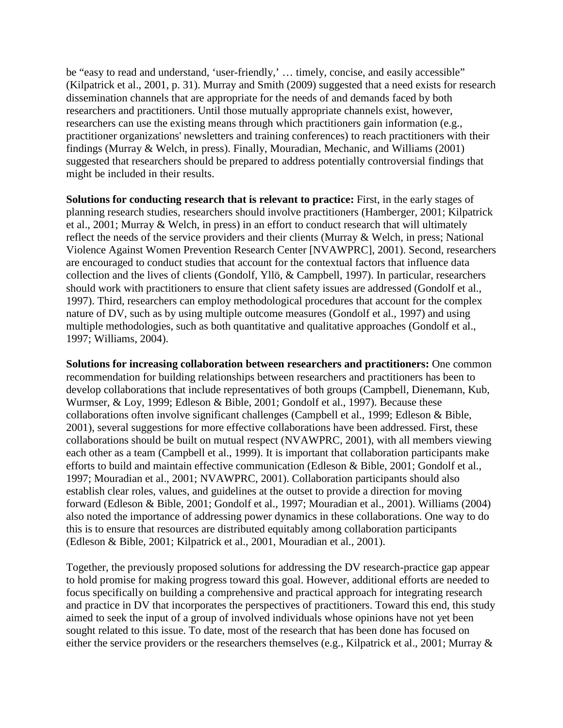be "easy to read and understand, 'user-friendly,' … timely, concise, and easily accessible" (Kilpatrick et al., 2001, p. 31). Murray and Smith (2009) suggested that a need exists for research dissemination channels that are appropriate for the needs of and demands faced by both researchers and practitioners. Until those mutually appropriate channels exist, however, researchers can use the existing means through which practitioners gain information (e.g., practitioner organizations' newsletters and training conferences) to reach practitioners with their findings (Murray & Welch, in press). Finally, Mouradian, Mechanic, and Williams (2001) suggested that researchers should be prepared to address potentially controversial findings that might be included in their results.

**Solutions for conducting research that is relevant to practice:** First, in the early stages of planning research studies, researchers should involve practitioners (Hamberger, 2001; Kilpatrick et al., 2001; Murray & Welch, in press) in an effort to conduct research that will ultimately reflect the needs of the service providers and their clients (Murray & Welch, in press; National Violence Against Women Prevention Research Center [NVAWPRC], 2001). Second, researchers are encouraged to conduct studies that account for the contextual factors that influence data collection and the lives of clients (Gondolf, Yllö, & Campbell, 1997). In particular, researchers should work with practitioners to ensure that client safety issues are addressed (Gondolf et al., 1997). Third, researchers can employ methodological procedures that account for the complex nature of DV, such as by using multiple outcome measures (Gondolf et al., 1997) and using multiple methodologies, such as both quantitative and qualitative approaches (Gondolf et al., 1997; Williams, 2004).

**Solutions for increasing collaboration between researchers and practitioners:** One common recommendation for building relationships between researchers and practitioners has been to develop collaborations that include representatives of both groups (Campbell, Dienemann, Kub, Wurmser, & Loy, 1999; Edleson & Bible, 2001; Gondolf et al., 1997). Because these collaborations often involve significant challenges (Campbell et al., 1999; Edleson & Bible, 2001), several suggestions for more effective collaborations have been addressed. First, these collaborations should be built on mutual respect (NVAWPRC, 2001), with all members viewing each other as a team (Campbell et al., 1999). It is important that collaboration participants make efforts to build and maintain effective communication (Edleson & Bible, 2001; Gondolf et al., 1997; Mouradian et al., 2001; NVAWPRC, 2001). Collaboration participants should also establish clear roles, values, and guidelines at the outset to provide a direction for moving forward (Edleson & Bible, 2001; Gondolf et al., 1997; Mouradian et al., 2001). Williams (2004) also noted the importance of addressing power dynamics in these collaborations. One way to do this is to ensure that resources are distributed equitably among collaboration participants (Edleson & Bible, 2001; Kilpatrick et al., 2001, Mouradian et al., 2001).

Together, the previously proposed solutions for addressing the DV research-practice gap appear to hold promise for making progress toward this goal. However, additional efforts are needed to focus specifically on building a comprehensive and practical approach for integrating research and practice in DV that incorporates the perspectives of practitioners. Toward this end, this study aimed to seek the input of a group of involved individuals whose opinions have not yet been sought related to this issue. To date, most of the research that has been done has focused on either the service providers or the researchers themselves (e.g., Kilpatrick et al., 2001; Murray &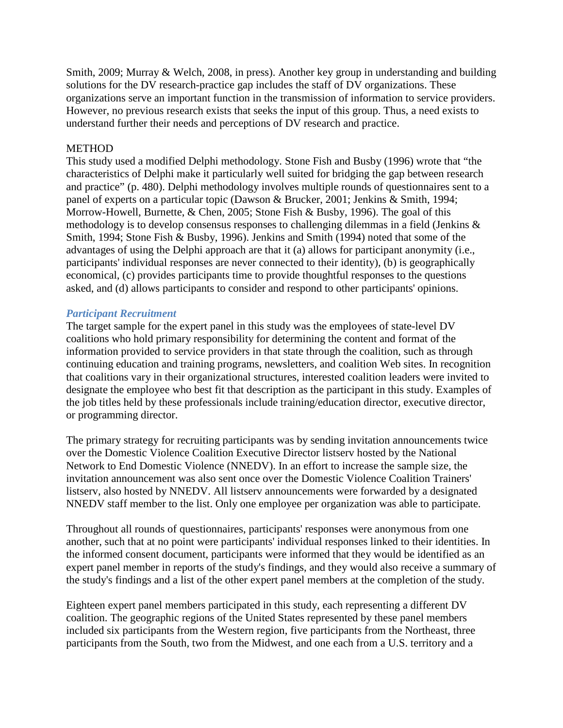Smith, 2009; Murray & Welch, 2008, in press). Another key group in understanding and building solutions for the DV research-practice gap includes the staff of DV organizations. These organizations serve an important function in the transmission of information to service providers. However, no previous research exists that seeks the input of this group. Thus, a need exists to understand further their needs and perceptions of DV research and practice.

## **METHOD**

This study used a modified Delphi methodology. Stone Fish and Busby (1996) wrote that "the characteristics of Delphi make it particularly well suited for bridging the gap between research and practice" (p. 480). Delphi methodology involves multiple rounds of questionnaires sent to a panel of experts on a particular topic (Dawson & Brucker, 2001; Jenkins & Smith, 1994; Morrow-Howell, Burnette, & Chen, 2005; Stone Fish & Busby, 1996). The goal of this methodology is to develop consensus responses to challenging dilemmas in a field (Jenkins & Smith, 1994; Stone Fish & Busby, 1996). Jenkins and Smith (1994) noted that some of the advantages of using the Delphi approach are that it (a) allows for participant anonymity (i.e., participants' individual responses are never connected to their identity), (b) is geographically economical, (c) provides participants time to provide thoughtful responses to the questions asked, and (d) allows participants to consider and respond to other participants' opinions.

## *Participant Recruitment*

The target sample for the expert panel in this study was the employees of state-level DV coalitions who hold primary responsibility for determining the content and format of the information provided to service providers in that state through the coalition, such as through continuing education and training programs, newsletters, and coalition Web sites. In recognition that coalitions vary in their organizational structures, interested coalition leaders were invited to designate the employee who best fit that description as the participant in this study. Examples of the job titles held by these professionals include training/education director, executive director, or programming director.

The primary strategy for recruiting participants was by sending invitation announcements twice over the Domestic Violence Coalition Executive Director listserv hosted by the National Network to End Domestic Violence (NNEDV). In an effort to increase the sample size, the invitation announcement was also sent once over the Domestic Violence Coalition Trainers' listserv, also hosted by NNEDV. All listserv announcements were forwarded by a designated NNEDV staff member to the list. Only one employee per organization was able to participate.

Throughout all rounds of questionnaires, participants' responses were anonymous from one another, such that at no point were participants' individual responses linked to their identities. In the informed consent document, participants were informed that they would be identified as an expert panel member in reports of the study's findings, and they would also receive a summary of the study's findings and a list of the other expert panel members at the completion of the study.

Eighteen expert panel members participated in this study, each representing a different DV coalition. The geographic regions of the United States represented by these panel members included six participants from the Western region, five participants from the Northeast, three participants from the South, two from the Midwest, and one each from a U.S. territory and a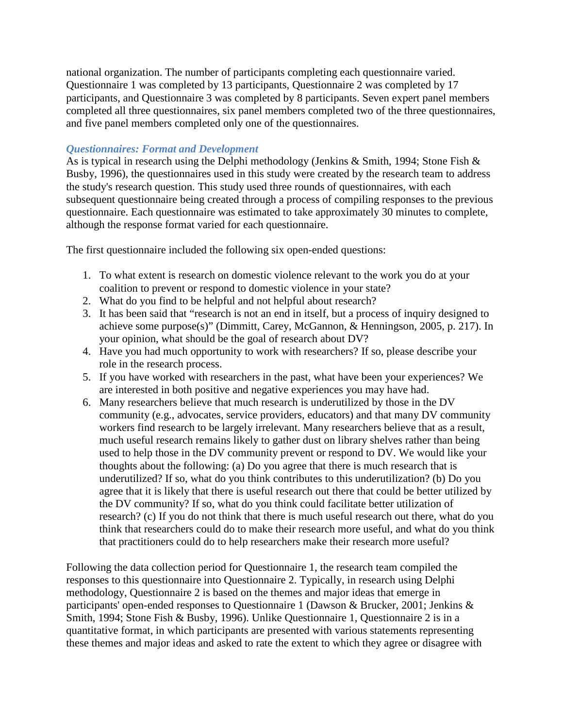national organization. The number of participants completing each questionnaire varied. Questionnaire 1 was completed by 13 participants, Questionnaire 2 was completed by 17 participants, and Questionnaire 3 was completed by 8 participants. Seven expert panel members completed all three questionnaires, six panel members completed two of the three questionnaires, and five panel members completed only one of the questionnaires.

#### *Questionnaires: Format and Development*

As is typical in research using the Delphi methodology (Jenkins & Smith, 1994; Stone Fish & Busby, 1996), the questionnaires used in this study were created by the research team to address the study's research question. This study used three rounds of questionnaires, with each subsequent questionnaire being created through a process of compiling responses to the previous questionnaire. Each questionnaire was estimated to take approximately 30 minutes to complete, although the response format varied for each questionnaire.

The first questionnaire included the following six open-ended questions:

- 1. To what extent is research on domestic violence relevant to the work you do at your coalition to prevent or respond to domestic violence in your state?
- 2. What do you find to be helpful and not helpful about research?
- 3. It has been said that "research is not an end in itself, but a process of inquiry designed to achieve some purpose(s)" (Dimmitt, Carey, McGannon, & Henningson, 2005, p. 217). In your opinion, what should be the goal of research about DV?
- 4. Have you had much opportunity to work with researchers? If so, please describe your role in the research process.
- 5. If you have worked with researchers in the past, what have been your experiences? We are interested in both positive and negative experiences you may have had.
- 6. Many researchers believe that much research is underutilized by those in the DV community (e.g., advocates, service providers, educators) and that many DV community workers find research to be largely irrelevant. Many researchers believe that as a result, much useful research remains likely to gather dust on library shelves rather than being used to help those in the DV community prevent or respond to DV. We would like your thoughts about the following: (a) Do you agree that there is much research that is underutilized? If so, what do you think contributes to this underutilization? (b) Do you agree that it is likely that there is useful research out there that could be better utilized by the DV community? If so, what do you think could facilitate better utilization of research? (c) If you do not think that there is much useful research out there, what do you think that researchers could do to make their research more useful, and what do you think that practitioners could do to help researchers make their research more useful?

Following the data collection period for Questionnaire 1, the research team compiled the responses to this questionnaire into Questionnaire 2. Typically, in research using Delphi methodology, Questionnaire 2 is based on the themes and major ideas that emerge in participants' open-ended responses to Questionnaire 1 (Dawson & Brucker, 2001; Jenkins & Smith, 1994; Stone Fish & Busby, 1996). Unlike Questionnaire 1, Questionnaire 2 is in a quantitative format, in which participants are presented with various statements representing these themes and major ideas and asked to rate the extent to which they agree or disagree with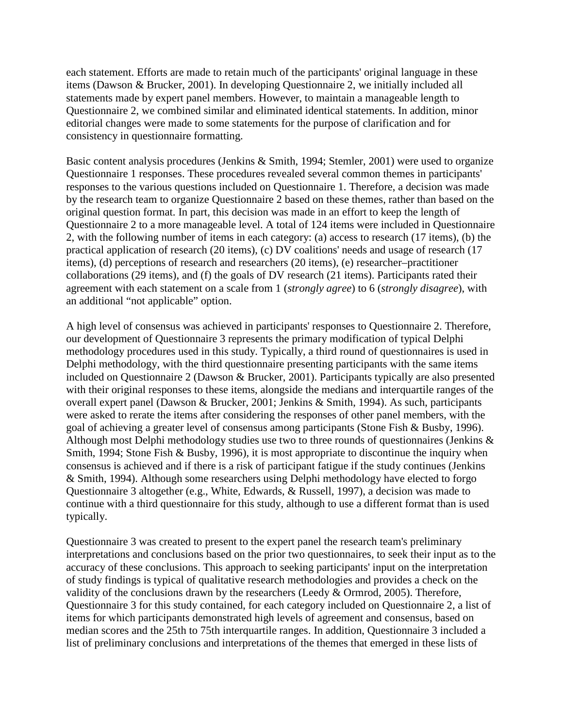each statement. Efforts are made to retain much of the participants' original language in these items (Dawson & Brucker, 2001). In developing Questionnaire 2, we initially included all statements made by expert panel members. However, to maintain a manageable length to Questionnaire 2, we combined similar and eliminated identical statements. In addition, minor editorial changes were made to some statements for the purpose of clarification and for consistency in questionnaire formatting.

Basic content analysis procedures (Jenkins & Smith, 1994; Stemler, 2001) were used to organize Questionnaire 1 responses. These procedures revealed several common themes in participants' responses to the various questions included on Questionnaire 1. Therefore, a decision was made by the research team to organize Questionnaire 2 based on these themes, rather than based on the original question format. In part, this decision was made in an effort to keep the length of Questionnaire 2 to a more manageable level. A total of 124 items were included in Questionnaire 2, with the following number of items in each category: (a) access to research (17 items), (b) the practical application of research (20 items), (c) DV coalitions' needs and usage of research (17 items), (d) perceptions of research and researchers (20 items), (e) researcher–practitioner collaborations (29 items), and (f) the goals of DV research (21 items). Participants rated their agreement with each statement on a scale from 1 (*strongly agree*) to 6 (*strongly disagree*), with an additional "not applicable" option.

A high level of consensus was achieved in participants' responses to Questionnaire 2. Therefore, our development of Questionnaire 3 represents the primary modification of typical Delphi methodology procedures used in this study. Typically, a third round of questionnaires is used in Delphi methodology, with the third questionnaire presenting participants with the same items included on Questionnaire 2 (Dawson & Brucker, 2001). Participants typically are also presented with their original responses to these items, alongside the medians and interquartile ranges of the overall expert panel (Dawson & Brucker, 2001; Jenkins & Smith, 1994). As such, participants were asked to rerate the items after considering the responses of other panel members, with the goal of achieving a greater level of consensus among participants (Stone Fish & Busby, 1996). Although most Delphi methodology studies use two to three rounds of questionnaires (Jenkins & Smith, 1994; Stone Fish & Busby, 1996), it is most appropriate to discontinue the inquiry when consensus is achieved and if there is a risk of participant fatigue if the study continues (Jenkins & Smith, 1994). Although some researchers using Delphi methodology have elected to forgo Questionnaire 3 altogether (e.g., White, Edwards, & Russell, 1997), a decision was made to continue with a third questionnaire for this study, although to use a different format than is used typically.

Questionnaire 3 was created to present to the expert panel the research team's preliminary interpretations and conclusions based on the prior two questionnaires, to seek their input as to the accuracy of these conclusions. This approach to seeking participants' input on the interpretation of study findings is typical of qualitative research methodologies and provides a check on the validity of the conclusions drawn by the researchers (Leedy & Ormrod, 2005). Therefore, Questionnaire 3 for this study contained, for each category included on Questionnaire 2, a list of items for which participants demonstrated high levels of agreement and consensus, based on median scores and the 25th to 75th interquartile ranges. In addition, Questionnaire 3 included a list of preliminary conclusions and interpretations of the themes that emerged in these lists of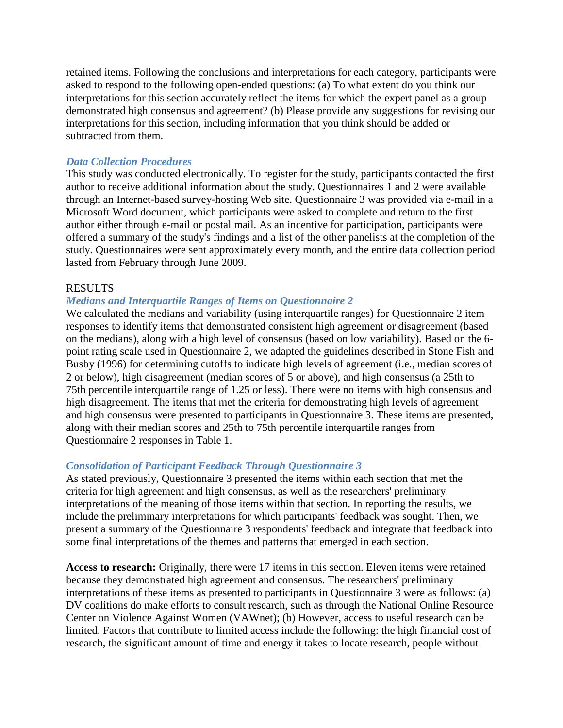retained items. Following the conclusions and interpretations for each category, participants were asked to respond to the following open-ended questions: (a) To what extent do you think our interpretations for this section accurately reflect the items for which the expert panel as a group demonstrated high consensus and agreement? (b) Please provide any suggestions for revising our interpretations for this section, including information that you think should be added or subtracted from them.

#### *Data Collection Procedures*

This study was conducted electronically. To register for the study, participants contacted the first author to receive additional information about the study. Questionnaires 1 and 2 were available through an Internet-based survey-hosting Web site. Questionnaire 3 was provided via e-mail in a Microsoft Word document, which participants were asked to complete and return to the first author either through e-mail or postal mail. As an incentive for participation, participants were offered a summary of the study's findings and a list of the other panelists at the completion of the study. Questionnaires were sent approximately every month, and the entire data collection period lasted from February through June 2009.

#### RESULTS

## *Medians and Interquartile Ranges of Items on Questionnaire 2*

We calculated the medians and variability (using interquartile ranges) for Questionnaire 2 item responses to identify items that demonstrated consistent high agreement or disagreement (based on the medians), along with a high level of consensus (based on low variability). Based on the 6 point rating scale used in Questionnaire 2, we adapted the guidelines described in Stone Fish and Busby (1996) for determining cutoffs to indicate high levels of agreement (i.e., median scores of 2 or below), high disagreement (median scores of 5 or above), and high consensus (a 25th to 75th percentile interquartile range of 1.25 or less). There were no items with high consensus and high disagreement. The items that met the criteria for demonstrating high levels of agreement and high consensus were presented to participants in Questionnaire 3. These items are presented, along with their median scores and 25th to 75th percentile interquartile ranges from Questionnaire 2 responses in Table 1.

#### *Consolidation of Participant Feedback Through Questionnaire 3*

As stated previously, Questionnaire 3 presented the items within each section that met the criteria for high agreement and high consensus, as well as the researchers' preliminary interpretations of the meaning of those items within that section. In reporting the results, we include the preliminary interpretations for which participants' feedback was sought. Then, we present a summary of the Questionnaire 3 respondents' feedback and integrate that feedback into some final interpretations of the themes and patterns that emerged in each section.

**Access to research:** Originally, there were 17 items in this section. Eleven items were retained because they demonstrated high agreement and consensus. The researchers' preliminary interpretations of these items as presented to participants in Questionnaire 3 were as follows: (a) DV coalitions do make efforts to consult research, such as through the National Online Resource Center on Violence Against Women (VAWnet); (b) However, access to useful research can be limited. Factors that contribute to limited access include the following: the high financial cost of research, the significant amount of time and energy it takes to locate research, people without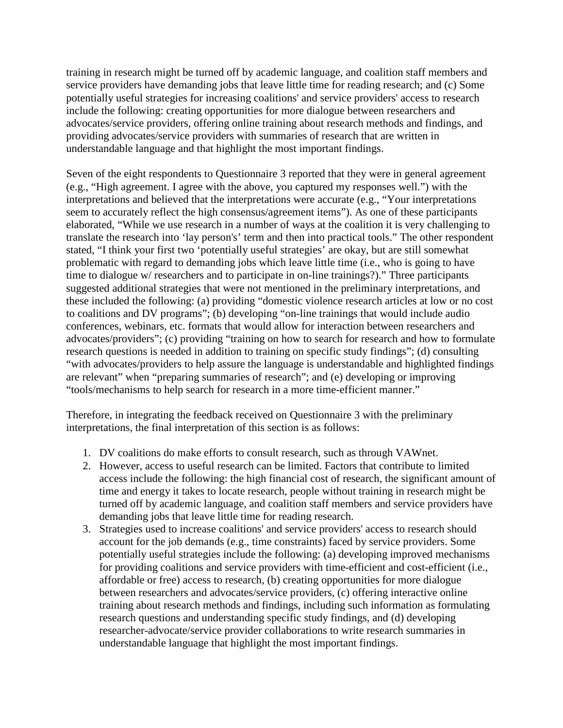training in research might be turned off by academic language, and coalition staff members and service providers have demanding jobs that leave little time for reading research; and (c) Some potentially useful strategies for increasing coalitions' and service providers' access to research include the following: creating opportunities for more dialogue between researchers and advocates/service providers, offering online training about research methods and findings, and providing advocates/service providers with summaries of research that are written in understandable language and that highlight the most important findings.

Seven of the eight respondents to Questionnaire 3 reported that they were in general agreement (e.g., "High agreement. I agree with the above, you captured my responses well.") with the interpretations and believed that the interpretations were accurate (e.g., "Your interpretations seem to accurately reflect the high consensus/agreement items"). As one of these participants elaborated, "While we use research in a number of ways at the coalition it is very challenging to translate the research into 'lay person's' term and then into practical tools." The other respondent stated, "I think your first two 'potentially useful strategies' are okay, but are still somewhat problematic with regard to demanding jobs which leave little time (i.e., who is going to have time to dialogue w/ researchers and to participate in on-line trainings?)." Three participants suggested additional strategies that were not mentioned in the preliminary interpretations, and these included the following: (a) providing "domestic violence research articles at low or no cost to coalitions and DV programs"; (b) developing "on-line trainings that would include audio conferences, webinars, etc. formats that would allow for interaction between researchers and advocates/providers"; (c) providing "training on how to search for research and how to formulate research questions is needed in addition to training on specific study findings"; (d) consulting "with advocates/providers to help assure the language is understandable and highlighted findings are relevant" when "preparing summaries of research"; and (e) developing or improving "tools/mechanisms to help search for research in a more time-efficient manner."

Therefore, in integrating the feedback received on Questionnaire 3 with the preliminary interpretations, the final interpretation of this section is as follows:

- 1. DV coalitions do make efforts to consult research, such as through VAWnet.
- 2. However, access to useful research can be limited. Factors that contribute to limited access include the following: the high financial cost of research, the significant amount of time and energy it takes to locate research, people without training in research might be turned off by academic language, and coalition staff members and service providers have demanding jobs that leave little time for reading research.
- 3. Strategies used to increase coalitions' and service providers' access to research should account for the job demands (e.g., time constraints) faced by service providers. Some potentially useful strategies include the following: (a) developing improved mechanisms for providing coalitions and service providers with time-efficient and cost-efficient (i.e., affordable or free) access to research, (b) creating opportunities for more dialogue between researchers and advocates/service providers, (c) offering interactive online training about research methods and findings, including such information as formulating research questions and understanding specific study findings, and (d) developing researcher-advocate/service provider collaborations to write research summaries in understandable language that highlight the most important findings.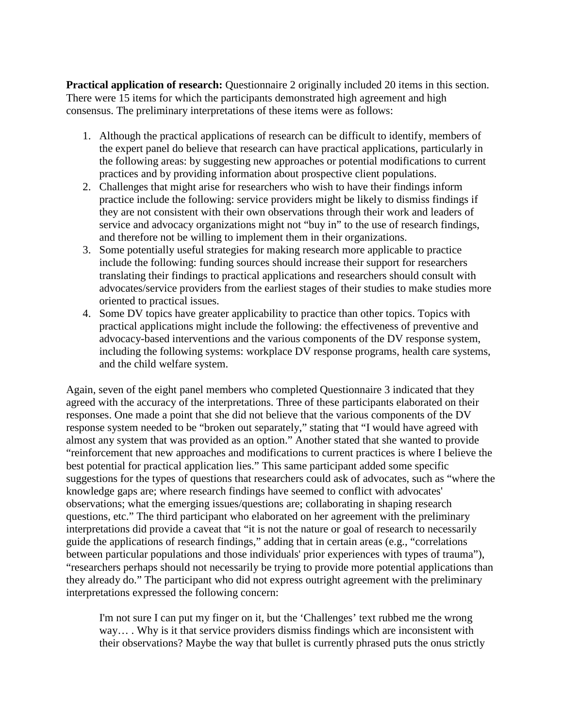**Practical application of research:** Questionnaire 2 originally included 20 items in this section. There were 15 items for which the participants demonstrated high agreement and high consensus. The preliminary interpretations of these items were as follows:

- 1. Although the practical applications of research can be difficult to identify, members of the expert panel do believe that research can have practical applications, particularly in the following areas: by suggesting new approaches or potential modifications to current practices and by providing information about prospective client populations.
- 2. Challenges that might arise for researchers who wish to have their findings inform practice include the following: service providers might be likely to dismiss findings if they are not consistent with their own observations through their work and leaders of service and advocacy organizations might not "buy in" to the use of research findings, and therefore not be willing to implement them in their organizations.
- 3. Some potentially useful strategies for making research more applicable to practice include the following: funding sources should increase their support for researchers translating their findings to practical applications and researchers should consult with advocates/service providers from the earliest stages of their studies to make studies more oriented to practical issues.
- 4. Some DV topics have greater applicability to practice than other topics. Topics with practical applications might include the following: the effectiveness of preventive and advocacy-based interventions and the various components of the DV response system, including the following systems: workplace DV response programs, health care systems, and the child welfare system.

Again, seven of the eight panel members who completed Questionnaire 3 indicated that they agreed with the accuracy of the interpretations. Three of these participants elaborated on their responses. One made a point that she did not believe that the various components of the DV response system needed to be "broken out separately," stating that "I would have agreed with almost any system that was provided as an option." Another stated that she wanted to provide "reinforcement that new approaches and modifications to current practices is where I believe the best potential for practical application lies." This same participant added some specific suggestions for the types of questions that researchers could ask of advocates, such as "where the knowledge gaps are; where research findings have seemed to conflict with advocates' observations; what the emerging issues/questions are; collaborating in shaping research questions, etc." The third participant who elaborated on her agreement with the preliminary interpretations did provide a caveat that "it is not the nature or goal of research to necessarily guide the applications of research findings," adding that in certain areas (e.g., "correlations between particular populations and those individuals' prior experiences with types of trauma"), "researchers perhaps should not necessarily be trying to provide more potential applications than they already do." The participant who did not express outright agreement with the preliminary interpretations expressed the following concern:

I'm not sure I can put my finger on it, but the 'Challenges' text rubbed me the wrong way… . Why is it that service providers dismiss findings which are inconsistent with their observations? Maybe the way that bullet is currently phrased puts the onus strictly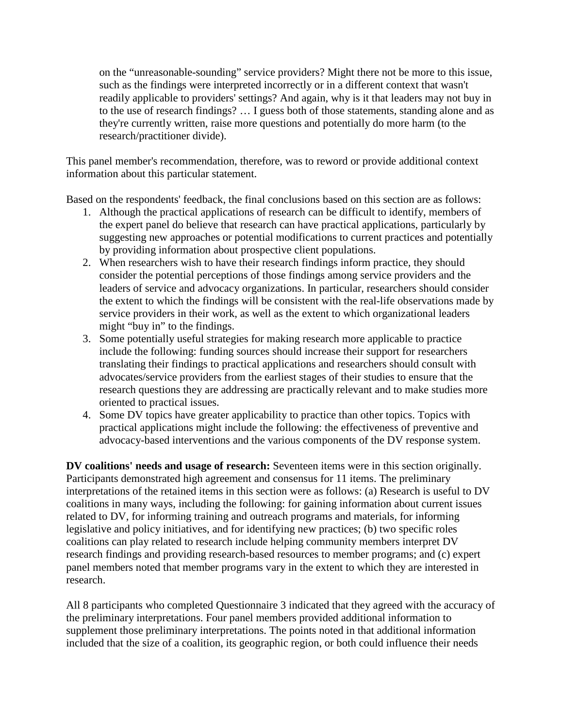on the "unreasonable-sounding" service providers? Might there not be more to this issue, such as the findings were interpreted incorrectly or in a different context that wasn't readily applicable to providers' settings? And again, why is it that leaders may not buy in to the use of research findings? … I guess both of those statements, standing alone and as they're currently written, raise more questions and potentially do more harm (to the research/practitioner divide).

This panel member's recommendation, therefore, was to reword or provide additional context information about this particular statement.

Based on the respondents' feedback, the final conclusions based on this section are as follows:

- 1. Although the practical applications of research can be difficult to identify, members of the expert panel do believe that research can have practical applications, particularly by suggesting new approaches or potential modifications to current practices and potentially by providing information about prospective client populations.
- 2. When researchers wish to have their research findings inform practice, they should consider the potential perceptions of those findings among service providers and the leaders of service and advocacy organizations. In particular, researchers should consider the extent to which the findings will be consistent with the real-life observations made by service providers in their work, as well as the extent to which organizational leaders might "buy in" to the findings.
- 3. Some potentially useful strategies for making research more applicable to practice include the following: funding sources should increase their support for researchers translating their findings to practical applications and researchers should consult with advocates/service providers from the earliest stages of their studies to ensure that the research questions they are addressing are practically relevant and to make studies more oriented to practical issues.
- 4. Some DV topics have greater applicability to practice than other topics. Topics with practical applications might include the following: the effectiveness of preventive and advocacy-based interventions and the various components of the DV response system.

**DV coalitions' needs and usage of research:** Seventeen items were in this section originally. Participants demonstrated high agreement and consensus for 11 items. The preliminary interpretations of the retained items in this section were as follows: (a) Research is useful to DV coalitions in many ways, including the following: for gaining information about current issues related to DV, for informing training and outreach programs and materials, for informing legislative and policy initiatives, and for identifying new practices; (b) two specific roles coalitions can play related to research include helping community members interpret DV research findings and providing research-based resources to member programs; and (c) expert panel members noted that member programs vary in the extent to which they are interested in research.

All 8 participants who completed Questionnaire 3 indicated that they agreed with the accuracy of the preliminary interpretations. Four panel members provided additional information to supplement those preliminary interpretations. The points noted in that additional information included that the size of a coalition, its geographic region, or both could influence their needs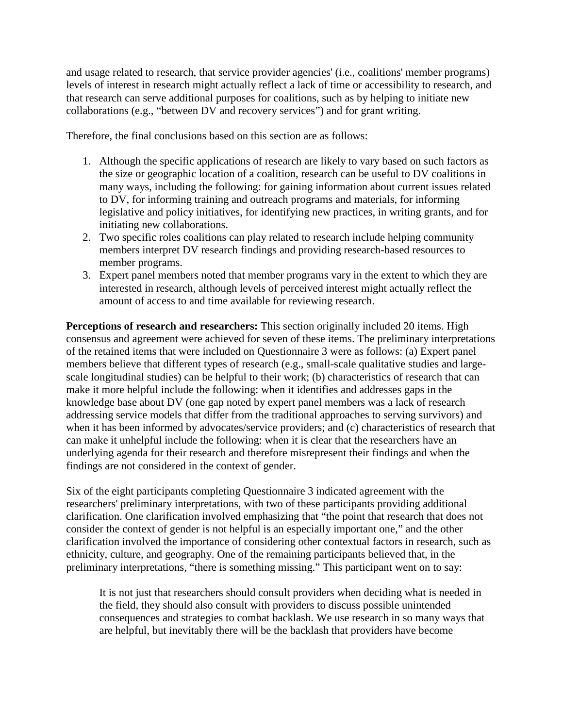and usage related to research, that service provider agencies' (i.e., coalitions' member programs) levels of interest in research might actually reflect a lack of time or accessibility to research, and that research can serve additional purposes for coalitions, such as by helping to initiate new collaborations (e.g., "between DV and recovery services") and for grant writing.

Therefore, the final conclusions based on this section are as follows:

- 1. Although the specific applications of research are likely to vary based on such factors as the size or geographic location of a coalition, research can be useful to DV coalitions in many ways, including the following: for gaining information about current issues related to DV, for informing training and outreach programs and materials, for informing legislative and policy initiatives, for identifying new practices, in writing grants, and for initiating new collaborations.
- 2. Two specific roles coalitions can play related to research include helping community members interpret DV research findings and providing research-based resources to member programs.
- 3. Expert panel members noted that member programs vary in the extent to which they are interested in research, although levels of perceived interest might actually reflect the amount of access to and time available for reviewing research.

Perceptions of research and researchers: This section originally included 20 items. High consensus and agreement were achieved for seven of these items. The preliminary interpretations of the retained items that were included on Questionnaire 3 were as follows: (a) Expert panel members believe that different types of research (e.g., small-scale qualitative studies and largescale longitudinal studies) can be helpful to their work; (b) characteristics of research that can make it more helpful include the following: when it identifies and addresses gaps in the knowledge base about DV (one gap noted by expert panel members was a lack of research addressing service models that differ from the traditional approaches to serving survivors) and when it has been informed by advocates/service providers; and (c) characteristics of research that can make it unhelpful include the following: when it is clear that the researchers have an underlying agenda for their research and therefore misrepresent their findings and when the findings are not considered in the context of gender.

Six of the eight participants completing Questionnaire 3 indicated agreement with the researchers' preliminary interpretations, with two of these participants providing additional clarification. One clarification involved emphasizing that "the point that research that does not consider the context of gender is not helpful is an especially important one," and the other clarification involved the importance of considering other contextual factors in research, such as ethnicity, culture, and geography. One of the remaining participants believed that, in the preliminary interpretations, "there is something missing." This participant went on to say:

It is not just that researchers should consult providers when deciding what is needed in the field, they should also consult with providers to discuss possible unintended consequences and strategies to combat backlash. We use research in so many ways that are helpful, but inevitably there will be the backlash that providers have become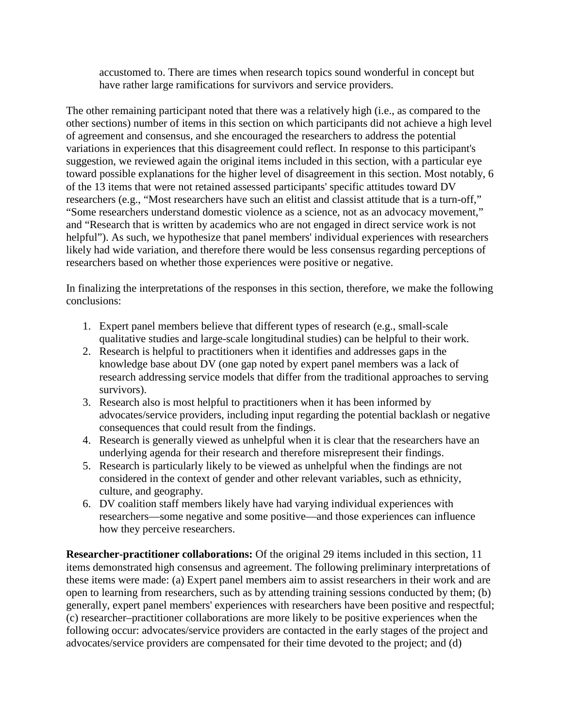accustomed to. There are times when research topics sound wonderful in concept but have rather large ramifications for survivors and service providers.

The other remaining participant noted that there was a relatively high (i.e., as compared to the other sections) number of items in this section on which participants did not achieve a high level of agreement and consensus, and she encouraged the researchers to address the potential variations in experiences that this disagreement could reflect. In response to this participant's suggestion, we reviewed again the original items included in this section, with a particular eye toward possible explanations for the higher level of disagreement in this section. Most notably, 6 of the 13 items that were not retained assessed participants' specific attitudes toward DV researchers (e.g., "Most researchers have such an elitist and classist attitude that is a turn-off," "Some researchers understand domestic violence as a science, not as an advocacy movement," and "Research that is written by academics who are not engaged in direct service work is not helpful"). As such, we hypothesize that panel members' individual experiences with researchers likely had wide variation, and therefore there would be less consensus regarding perceptions of researchers based on whether those experiences were positive or negative.

In finalizing the interpretations of the responses in this section, therefore, we make the following conclusions:

- 1. Expert panel members believe that different types of research (e.g., small-scale qualitative studies and large-scale longitudinal studies) can be helpful to their work.
- 2. Research is helpful to practitioners when it identifies and addresses gaps in the knowledge base about DV (one gap noted by expert panel members was a lack of research addressing service models that differ from the traditional approaches to serving survivors).
- 3. Research also is most helpful to practitioners when it has been informed by advocates/service providers, including input regarding the potential backlash or negative consequences that could result from the findings.
- 4. Research is generally viewed as unhelpful when it is clear that the researchers have an underlying agenda for their research and therefore misrepresent their findings.
- 5. Research is particularly likely to be viewed as unhelpful when the findings are not considered in the context of gender and other relevant variables, such as ethnicity, culture, and geography.
- 6. DV coalition staff members likely have had varying individual experiences with researchers—some negative and some positive—and those experiences can influence how they perceive researchers.

**Researcher-practitioner collaborations:** Of the original 29 items included in this section, 11 items demonstrated high consensus and agreement. The following preliminary interpretations of these items were made: (a) Expert panel members aim to assist researchers in their work and are open to learning from researchers, such as by attending training sessions conducted by them; (b) generally, expert panel members' experiences with researchers have been positive and respectful; (c) researcher–practitioner collaborations are more likely to be positive experiences when the following occur: advocates/service providers are contacted in the early stages of the project and advocates/service providers are compensated for their time devoted to the project; and (d)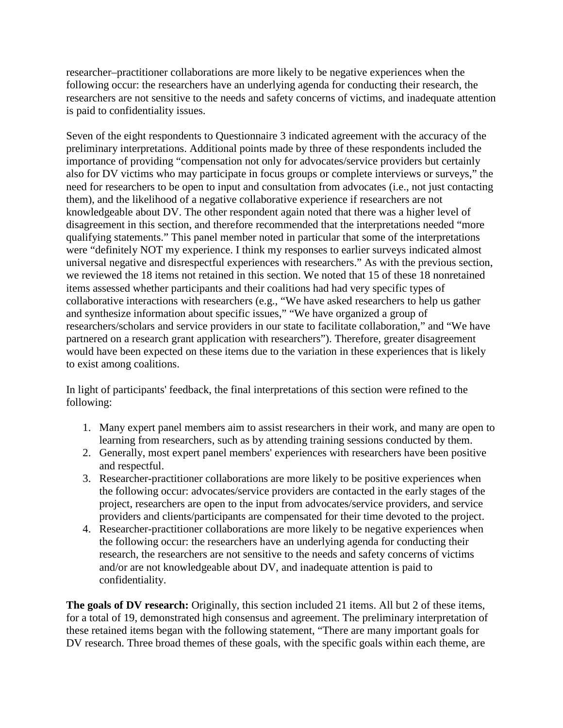researcher–practitioner collaborations are more likely to be negative experiences when the following occur: the researchers have an underlying agenda for conducting their research, the researchers are not sensitive to the needs and safety concerns of victims, and inadequate attention is paid to confidentiality issues.

Seven of the eight respondents to Questionnaire 3 indicated agreement with the accuracy of the preliminary interpretations. Additional points made by three of these respondents included the importance of providing "compensation not only for advocates/service providers but certainly also for DV victims who may participate in focus groups or complete interviews or surveys," the need for researchers to be open to input and consultation from advocates (i.e., not just contacting them), and the likelihood of a negative collaborative experience if researchers are not knowledgeable about DV. The other respondent again noted that there was a higher level of disagreement in this section, and therefore recommended that the interpretations needed "more qualifying statements." This panel member noted in particular that some of the interpretations were "definitely NOT my experience. I think my responses to earlier surveys indicated almost universal negative and disrespectful experiences with researchers." As with the previous section, we reviewed the 18 items not retained in this section. We noted that 15 of these 18 nonretained items assessed whether participants and their coalitions had had very specific types of collaborative interactions with researchers (e.g., "We have asked researchers to help us gather and synthesize information about specific issues," "We have organized a group of researchers/scholars and service providers in our state to facilitate collaboration," and "We have partnered on a research grant application with researchers"). Therefore, greater disagreement would have been expected on these items due to the variation in these experiences that is likely to exist among coalitions.

In light of participants' feedback, the final interpretations of this section were refined to the following:

- 1. Many expert panel members aim to assist researchers in their work, and many are open to learning from researchers, such as by attending training sessions conducted by them.
- 2. Generally, most expert panel members' experiences with researchers have been positive and respectful.
- 3. Researcher-practitioner collaborations are more likely to be positive experiences when the following occur: advocates/service providers are contacted in the early stages of the project, researchers are open to the input from advocates/service providers, and service providers and clients/participants are compensated for their time devoted to the project.
- 4. Researcher-practitioner collaborations are more likely to be negative experiences when the following occur: the researchers have an underlying agenda for conducting their research, the researchers are not sensitive to the needs and safety concerns of victims and/or are not knowledgeable about DV, and inadequate attention is paid to confidentiality.

**The goals of DV research:** Originally, this section included 21 items. All but 2 of these items, for a total of 19, demonstrated high consensus and agreement. The preliminary interpretation of these retained items began with the following statement, "There are many important goals for DV research. Three broad themes of these goals, with the specific goals within each theme, are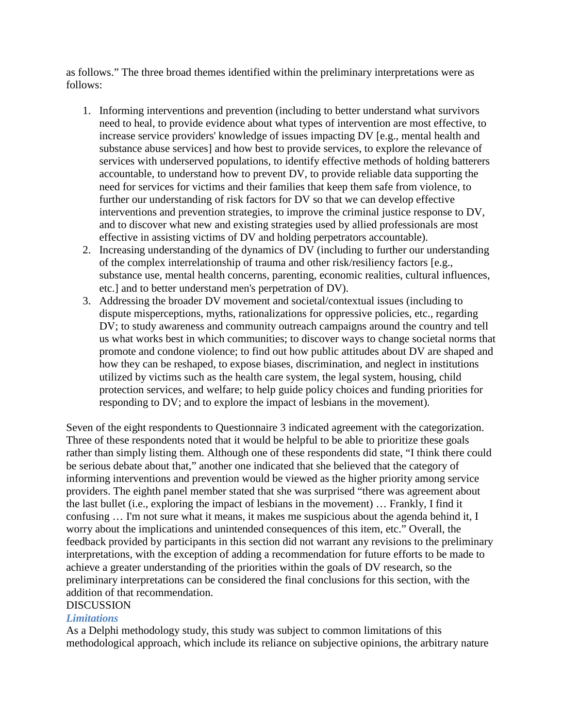as follows." The three broad themes identified within the preliminary interpretations were as follows:

- 1. Informing interventions and prevention (including to better understand what survivors need to heal, to provide evidence about what types of intervention are most effective, to increase service providers' knowledge of issues impacting DV [e.g., mental health and substance abuse services] and how best to provide services, to explore the relevance of services with underserved populations, to identify effective methods of holding batterers accountable, to understand how to prevent DV, to provide reliable data supporting the need for services for victims and their families that keep them safe from violence, to further our understanding of risk factors for DV so that we can develop effective interventions and prevention strategies, to improve the criminal justice response to DV, and to discover what new and existing strategies used by allied professionals are most effective in assisting victims of DV and holding perpetrators accountable).
- 2. Increasing understanding of the dynamics of DV (including to further our understanding of the complex interrelationship of trauma and other risk/resiliency factors [e.g., substance use, mental health concerns, parenting, economic realities, cultural influences, etc.] and to better understand men's perpetration of DV).
- 3. Addressing the broader DV movement and societal/contextual issues (including to dispute misperceptions, myths, rationalizations for oppressive policies, etc., regarding DV; to study awareness and community outreach campaigns around the country and tell us what works best in which communities; to discover ways to change societal norms that promote and condone violence; to find out how public attitudes about DV are shaped and how they can be reshaped, to expose biases, discrimination, and neglect in institutions utilized by victims such as the health care system, the legal system, housing, child protection services, and welfare; to help guide policy choices and funding priorities for responding to DV; and to explore the impact of lesbians in the movement).

Seven of the eight respondents to Questionnaire 3 indicated agreement with the categorization. Three of these respondents noted that it would be helpful to be able to prioritize these goals rather than simply listing them. Although one of these respondents did state, "I think there could be serious debate about that," another one indicated that she believed that the category of informing interventions and prevention would be viewed as the higher priority among service providers. The eighth panel member stated that she was surprised "there was agreement about the last bullet (i.e., exploring the impact of lesbians in the movement) … Frankly, I find it confusing … I'm not sure what it means, it makes me suspicious about the agenda behind it, I worry about the implications and unintended consequences of this item, etc." Overall, the feedback provided by participants in this section did not warrant any revisions to the preliminary interpretations, with the exception of adding a recommendation for future efforts to be made to achieve a greater understanding of the priorities within the goals of DV research, so the preliminary interpretations can be considered the final conclusions for this section, with the addition of that recommendation.

#### DISCUSSION

# *Limitations*

As a Delphi methodology study, this study was subject to common limitations of this methodological approach, which include its reliance on subjective opinions, the arbitrary nature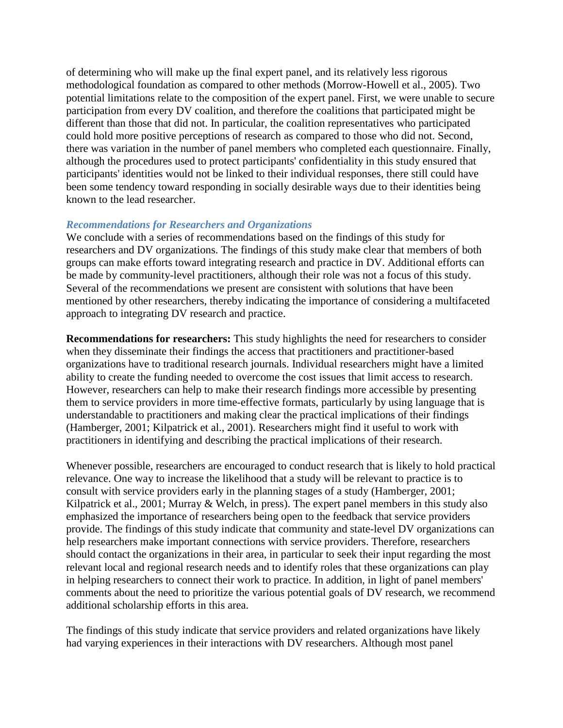of determining who will make up the final expert panel, and its relatively less rigorous methodological foundation as compared to other methods (Morrow-Howell et al., 2005). Two potential limitations relate to the composition of the expert panel. First, we were unable to secure participation from every DV coalition, and therefore the coalitions that participated might be different than those that did not. In particular, the coalition representatives who participated could hold more positive perceptions of research as compared to those who did not. Second, there was variation in the number of panel members who completed each questionnaire. Finally, although the procedures used to protect participants' confidentiality in this study ensured that participants' identities would not be linked to their individual responses, there still could have been some tendency toward responding in socially desirable ways due to their identities being known to the lead researcher.

#### *Recommendations for Researchers and Organizations*

We conclude with a series of recommendations based on the findings of this study for researchers and DV organizations. The findings of this study make clear that members of both groups can make efforts toward integrating research and practice in DV. Additional efforts can be made by community-level practitioners, although their role was not a focus of this study. Several of the recommendations we present are consistent with solutions that have been mentioned by other researchers, thereby indicating the importance of considering a multifaceted approach to integrating DV research and practice.

**Recommendations for researchers:** This study highlights the need for researchers to consider when they disseminate their findings the access that practitioners and practitioner-based organizations have to traditional research journals. Individual researchers might have a limited ability to create the funding needed to overcome the cost issues that limit access to research. However, researchers can help to make their research findings more accessible by presenting them to service providers in more time-effective formats, particularly by using language that is understandable to practitioners and making clear the practical implications of their findings (Hamberger, 2001; Kilpatrick et al., 2001). Researchers might find it useful to work with practitioners in identifying and describing the practical implications of their research.

Whenever possible, researchers are encouraged to conduct research that is likely to hold practical relevance. One way to increase the likelihood that a study will be relevant to practice is to consult with service providers early in the planning stages of a study (Hamberger, 2001; Kilpatrick et al., 2001; Murray & Welch, in press). The expert panel members in this study also emphasized the importance of researchers being open to the feedback that service providers provide. The findings of this study indicate that community and state-level DV organizations can help researchers make important connections with service providers. Therefore, researchers should contact the organizations in their area, in particular to seek their input regarding the most relevant local and regional research needs and to identify roles that these organizations can play in helping researchers to connect their work to practice. In addition, in light of panel members' comments about the need to prioritize the various potential goals of DV research, we recommend additional scholarship efforts in this area.

The findings of this study indicate that service providers and related organizations have likely had varying experiences in their interactions with DV researchers. Although most panel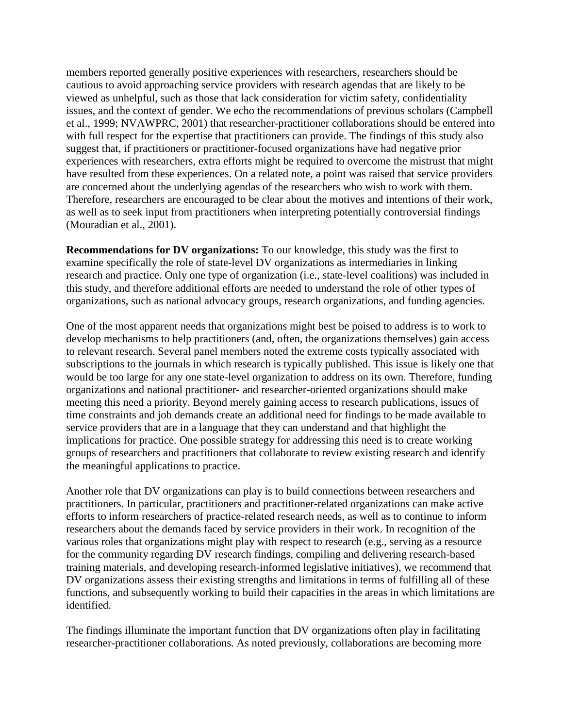members reported generally positive experiences with researchers, researchers should be cautious to avoid approaching service providers with research agendas that are likely to be viewed as unhelpful, such as those that lack consideration for victim safety, confidentiality issues, and the context of gender. We echo the recommendations of previous scholars (Campbell et al., 1999; NVAWPRC, 2001) that researcher-practitioner collaborations should be entered into with full respect for the expertise that practitioners can provide. The findings of this study also suggest that, if practitioners or practitioner-focused organizations have had negative prior experiences with researchers, extra efforts might be required to overcome the mistrust that might have resulted from these experiences. On a related note, a point was raised that service providers are concerned about the underlying agendas of the researchers who wish to work with them. Therefore, researchers are encouraged to be clear about the motives and intentions of their work, as well as to seek input from practitioners when interpreting potentially controversial findings (Mouradian et al., 2001).

**Recommendations for DV organizations:** To our knowledge, this study was the first to examine specifically the role of state-level DV organizations as intermediaries in linking research and practice. Only one type of organization (i.e., state-level coalitions) was included in this study, and therefore additional efforts are needed to understand the role of other types of organizations, such as national advocacy groups, research organizations, and funding agencies.

One of the most apparent needs that organizations might best be poised to address is to work to develop mechanisms to help practitioners (and, often, the organizations themselves) gain access to relevant research. Several panel members noted the extreme costs typically associated with subscriptions to the journals in which research is typically published. This issue is likely one that would be too large for any one state-level organization to address on its own. Therefore, funding organizations and national practitioner- and researcher-oriented organizations should make meeting this need a priority. Beyond merely gaining access to research publications, issues of time constraints and job demands create an additional need for findings to be made available to service providers that are in a language that they can understand and that highlight the implications for practice. One possible strategy for addressing this need is to create working groups of researchers and practitioners that collaborate to review existing research and identify the meaningful applications to practice.

Another role that DV organizations can play is to build connections between researchers and practitioners. In particular, practitioners and practitioner-related organizations can make active efforts to inform researchers of practice-related research needs, as well as to continue to inform researchers about the demands faced by service providers in their work. In recognition of the various roles that organizations might play with respect to research (e.g., serving as a resource for the community regarding DV research findings, compiling and delivering research-based training materials, and developing research-informed legislative initiatives), we recommend that DV organizations assess their existing strengths and limitations in terms of fulfilling all of these functions, and subsequently working to build their capacities in the areas in which limitations are identified.

The findings illuminate the important function that DV organizations often play in facilitating researcher-practitioner collaborations. As noted previously, collaborations are becoming more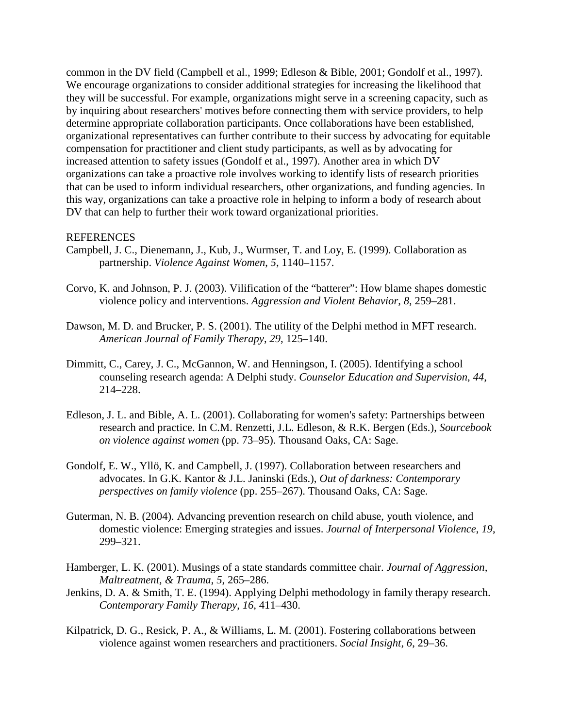common in the DV field (Campbell et al., 1999; Edleson & Bible, 2001; Gondolf et al., 1997). We encourage organizations to consider additional strategies for increasing the likelihood that they will be successful. For example, organizations might serve in a screening capacity, such as by inquiring about researchers' motives before connecting them with service providers, to help determine appropriate collaboration participants. Once collaborations have been established, organizational representatives can further contribute to their success by advocating for equitable compensation for practitioner and client study participants, as well as by advocating for increased attention to safety issues (Gondolf et al., 1997). Another area in which DV organizations can take a proactive role involves working to identify lists of research priorities that can be used to inform individual researchers, other organizations, and funding agencies. In this way, organizations can take a proactive role in helping to inform a body of research about DV that can help to further their work toward organizational priorities.

#### **REFERENCES**

- Campbell, J. C., Dienemann, J., [Kub, J.,](http://www.tandfonline.com/action/doSearch?action=runSearch&type=advanced&result=true&prevSearch=%2Bauthorsfield%3A%28Kub%2C+J.%29) Wurmser, T. and Loy, E. (1999). Collaboration as partnership. *Violence Against Women*, *5*, 1140–1157.
- Corvo, K. and Johnson, P. J. (2003). Vilification of the "batterer": How blame shapes domestic violence policy and interventions. *Aggression and Violent Behavior*, *8*, 259–281.
- Dawson, M. D. and Brucker, P. S. (2001). The utility of the Delphi method in MFT research. *American Journal of Family Therapy*, *29*, 125–140.
- Dimmitt, C., Carey, J. C., McGannon, W. and Henningson, I. (2005). Identifying a school counseling research agenda: A Delphi study. *Counselor Education and Supervision*, *44*, 214–228.
- Edleson, J. L. and Bible, A. L. (2001). Collaborating for women's safety: Partnerships between research and practice. In C.M. Renzetti, J.L. Edleson, & R.K. Bergen (Eds.), *Sourcebook on violence against women* (pp. 73–95). Thousand Oaks, CA: Sage.
- Gondolf, E. W., Yllö, K. and Campbell, J. (1997). Collaboration between researchers and advocates. In G.K. Kantor & J.L. Janinski (Eds.), *Out of darkness: Contemporary perspectives on family violence* (pp. 255–267). Thousand Oaks, CA: Sage.
- Guterman, N. B. (2004). Advancing prevention research on child abuse, youth violence, and domestic violence: Emerging strategies and issues. *Journal of Interpersonal Violence*, *19*, 299–321.
- Hamberger, L. K. (2001). Musings of a state standards committee chair. *Journal of Aggression, Maltreatment, & Trauma*, *5*, 265–286.
- Jenkins, D. A. & Smith, T. E. (1994). Applying Delphi methodology in family therapy research. *Contemporary Family Therapy*, *16*, 411–430.
- Kilpatrick, D. G., Resick, P. A., & Williams, L. M. (2001). Fostering collaborations between violence against women researchers and practitioners. *Social Insight*, *6*, 29–36.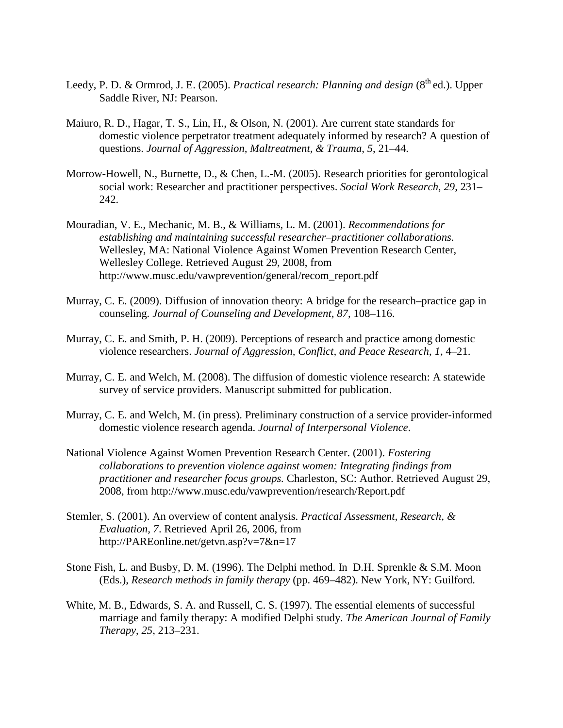- Leedy, P. D. & Ormrod, J. E. (2005). *Practical research: Planning and design* (8<sup>th</sup> ed.). Upper Saddle River, NJ: Pearson.
- Maiuro, R. D., Hagar, T. S., Lin, H., & Olson, N. (2001). Are current state standards for domestic violence perpetrator treatment adequately informed by research? A question of questions. *Journal of Aggression, Maltreatment, & Trauma*, *5*, 21–44.
- Morrow-Howell, N., Burnette, D., & Chen, L.-M. (2005). Research priorities for gerontological social work: Researcher and practitioner perspectives. *Social Work Research*, *29*, 231– 242.
- Mouradian, V. E., Mechanic, M. B., & Williams, L. M. (2001). *Recommendations for establishing and maintaining successful researcher–practitioner collaborations.* Wellesley, MA: National Violence Against Women Prevention Research Center, Wellesley College. Retrieved August 29, 2008, from http://www.musc.edu/vawprevention/general/recom\_report.pdf
- Murray, C. E. (2009). Diffusion of innovation theory: A bridge for the research–practice gap in counseling. *Journal of Counseling and Development*, *87*, 108–116.
- Murray, C. E. and Smith, P. H. (2009). Perceptions of research and practice among domestic violence researchers. *Journal of Aggression, Conflict, and Peace Research*, *1*, 4–21.
- Murray, C. E. and Welch, M. (2008). The diffusion of domestic violence research: A statewide survey of service providers. Manuscript submitted for publication.
- Murray, C. E. and Welch, M. (in press). Preliminary construction of a service provider-informed domestic violence research agenda. *Journal of Interpersonal Violence*.
- National Violence Against Women Prevention Research Center. (2001). *Fostering collaborations to prevention violence against women: Integrating findings from practitioner and researcher focus groups.* Charleston, SC: Author. Retrieved August 29, 2008, from http://www.musc.edu/vawprevention/research/Report.pdf
- Stemler, S. (2001). An overview of content analysis. *Practical Assessment, Research, & Evaluation, 7*. Retrieved April 26, 2006, from http://PAREonline.net/getvn.asp?v=7&n=17
- Stone Fish, L. and Busby, D. M. (1996). The Delphi method. In D.H. Sprenkle & S.M. Moon (Eds.), *Research methods in family therapy* (pp. 469–482). New York, NY: Guilford.
- White, M. B., Edwards, S. A. and Russell, C. S. (1997). The essential elements of successful marriage and family therapy: A modified Delphi study. *The American Journal of Family Therapy*, *25*, 213–231.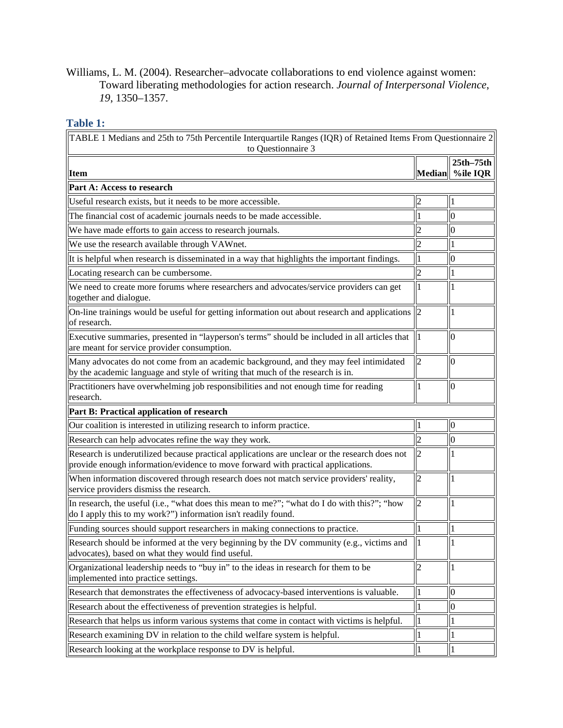Williams, L. M. (2004). Researcher–advocate collaborations to end violence against women: Toward liberating methodologies for action research. *Journal of Interpersonal Violence*, *19*, 1350–1357.

# **Table 1:**

| TABLE 1 Medians and 25th to 75th Percentile Interquartile Ranges (IQR) of Retained Items From Questionnaire 2<br>to Questionnaire 3                                               |                           |                         |  |  |
|-----------------------------------------------------------------------------------------------------------------------------------------------------------------------------------|---------------------------|-------------------------|--|--|
| Item                                                                                                                                                                              | <b>Median</b>             | $25th-75th$<br>%ile IQR |  |  |
| <b>Part A: Access to research</b>                                                                                                                                                 |                           |                         |  |  |
| Useful research exists, but it needs to be more accessible.                                                                                                                       |                           |                         |  |  |
| The financial cost of academic journals needs to be made accessible.                                                                                                              |                           | 0                       |  |  |
| We have made efforts to gain access to research journals.                                                                                                                         |                           | 0                       |  |  |
| We use the research available through VAWnet.                                                                                                                                     | $\overline{c}$            |                         |  |  |
| It is helpful when research is disseminated in a way that highlights the important findings.                                                                                      | $\mathbf{1}$              | 0                       |  |  |
| Locating research can be cumbersome.                                                                                                                                              | $\overline{c}$            |                         |  |  |
| We need to create more forums where researchers and advocates/service providers can get<br>together and dialogue.                                                                 | 1                         |                         |  |  |
| On-line trainings would be useful for getting information out about research and applications $\vert 2 \vert$<br>of research.                                                     |                           |                         |  |  |
| Executive summaries, presented in "layperson's terms" should be included in all articles that<br>are meant for service provider consumption.                                      | 1                         | 0                       |  |  |
| Many advocates do not come from an academic background, and they may feel intimidated<br>by the academic language and style of writing that much of the research is in.           | $\overline{c}$            | 0                       |  |  |
| Practitioners have overwhelming job responsibilities and not enough time for reading<br>research.                                                                                 | 1                         | 0                       |  |  |
| Part B: Practical application of research                                                                                                                                         |                           |                         |  |  |
| Our coalition is interested in utilizing research to inform practice.                                                                                                             | 1                         | $\overline{0}$          |  |  |
| Research can help advocates refine the way they work.                                                                                                                             | $\overline{c}$            | 0                       |  |  |
| Research is underutilized because practical applications are unclear or the research does not<br>provide enough information/evidence to move forward with practical applications. | $\overline{c}$            |                         |  |  |
| When information discovered through research does not match service providers' reality,<br>service providers dismiss the research.                                                | 2                         |                         |  |  |
| In research, the useful (i.e., "what does this mean to me?"; "what do I do with this?"; "how<br>do I apply this to my work?") information isn't readily found.                    | $\overline{c}$            |                         |  |  |
| Funding sources should support researchers in making connections to practice.                                                                                                     |                           |                         |  |  |
| Research should be informed at the very beginning by the DV community (e.g., victims and<br>advocates), based on what they would find useful.                                     | $\overline{\mathfrak{h}}$ |                         |  |  |
| Organizational leadership needs to "buy in" to the ideas in research for them to be<br>implemented into practice settings.                                                        | $\overline{c}$            |                         |  |  |
| Research that demonstrates the effectiveness of advocacy-based interventions is valuable.                                                                                         | 1                         | 0                       |  |  |
| Research about the effectiveness of prevention strategies is helpful.                                                                                                             |                           | 0                       |  |  |
| Research that helps us inform various systems that come in contact with victims is helpful.                                                                                       | $\mathbf{1}$              |                         |  |  |
| Research examining DV in relation to the child welfare system is helpful.                                                                                                         | 1                         |                         |  |  |
| Research looking at the workplace response to DV is helpful.                                                                                                                      | 1                         |                         |  |  |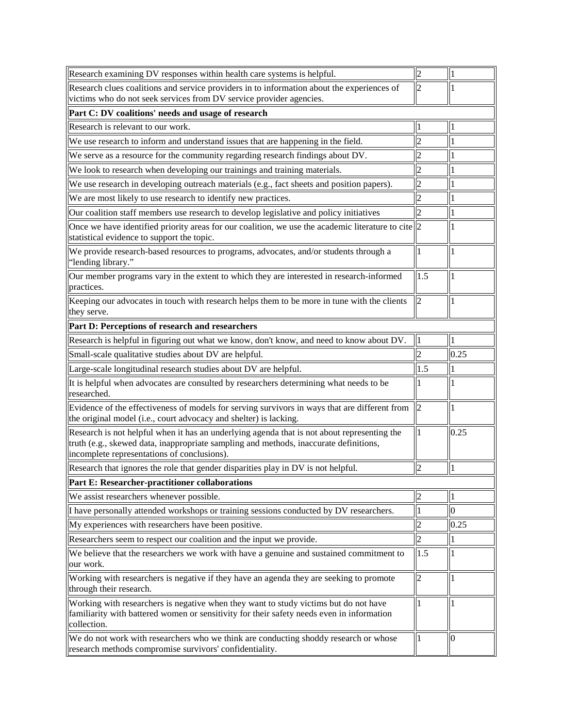| Research examining DV responses within health care systems is helpful.                                                                                                                                                              | $\overline{c}$ | 1               |  |  |
|-------------------------------------------------------------------------------------------------------------------------------------------------------------------------------------------------------------------------------------|----------------|-----------------|--|--|
| Research clues coalitions and service providers in to information about the experiences of                                                                                                                                          | $\overline{2}$ |                 |  |  |
| victims who do not seek services from DV service provider agencies.                                                                                                                                                                 |                |                 |  |  |
| Part C: DV coalitions' needs and usage of research                                                                                                                                                                                  |                |                 |  |  |
| Research is relevant to our work.                                                                                                                                                                                                   | 1              | 11              |  |  |
| We use research to inform and understand issues that are happening in the field.                                                                                                                                                    | $\overline{c}$ | 1               |  |  |
| We serve as a resource for the community regarding research findings about DV.                                                                                                                                                      | $\overline{c}$ |                 |  |  |
| We look to research when developing our trainings and training materials.                                                                                                                                                           | $\overline{c}$ | 1               |  |  |
| We use research in developing outreach materials (e.g., fact sheets and position papers).                                                                                                                                           | $\overline{c}$ |                 |  |  |
| We are most likely to use research to identify new practices.                                                                                                                                                                       | $\overline{c}$ |                 |  |  |
| Our coalition staff members use research to develop legislative and policy initiatives                                                                                                                                              | $\overline{c}$ | 1               |  |  |
| Once we have identified priority areas for our coalition, we use the academic literature to cite $  2$<br>statistical evidence to support the topic.                                                                                |                |                 |  |  |
| We provide research-based resources to programs, advocates, and/or students through a<br>"lending library."                                                                                                                         | $\mathbf{1}$   |                 |  |  |
| Our member programs vary in the extent to which they are interested in research-informed<br>practices.                                                                                                                              | 1.5            | 1               |  |  |
| Keeping our advocates in touch with research helps them to be more in tune with the clients<br>they serve.                                                                                                                          | $\overline{2}$ | 1               |  |  |
| Part D: Perceptions of research and researchers                                                                                                                                                                                     |                |                 |  |  |
| Research is helpful in figuring out what we know, don't know, and need to know about DV.                                                                                                                                            | $\vert$ 1      | 1               |  |  |
| Small-scale qualitative studies about DV are helpful.                                                                                                                                                                               | $\overline{c}$ | 0.25            |  |  |
| Large-scale longitudinal research studies about DV are helpful.                                                                                                                                                                     | 1.5            |                 |  |  |
| It is helpful when advocates are consulted by researchers determining what needs to be<br>researched.                                                                                                                               | 1              |                 |  |  |
| Evidence of the effectiveness of models for serving survivors in ways that are different from<br>the original model (i.e., court advocacy and shelter) is lacking.                                                                  | $\overline{2}$ | $\mathbf{1}$    |  |  |
| Research is not helpful when it has an underlying agenda that is not about representing the<br>truth (e.g., skewed data, inappropriate sampling and methods, inaccurate definitions,<br>incomplete representations of conclusions). | 1              | 0.25            |  |  |
| Research that ignores the role that gender disparities play in DV is not helpful.                                                                                                                                                   | $\overline{c}$ | 1               |  |  |
| Part E: Researcher-practitioner collaborations                                                                                                                                                                                      |                |                 |  |  |
| We assist researchers whenever possible.                                                                                                                                                                                            | $\overline{c}$ | 1               |  |  |
| I have personally attended workshops or training sessions conducted by DV researchers.                                                                                                                                              |                | 0               |  |  |
| My experiences with researchers have been positive.                                                                                                                                                                                 | $\overline{c}$ | 0.25            |  |  |
| Researchers seem to respect our coalition and the input we provide.                                                                                                                                                                 | $\overline{c}$ | 1               |  |  |
| We believe that the researchers we work with have a genuine and sustained commitment to<br>our work.                                                                                                                                | 1.5            |                 |  |  |
| Working with researchers is negative if they have an agenda they are seeking to promote<br>through their research.                                                                                                                  | $\overline{c}$ | 1               |  |  |
| Working with researchers is negative when they want to study victims but do not have<br>familiarity with battered women or sensitivity for their safety needs even in information<br>collection.                                    |                |                 |  |  |
| We do not work with researchers who we think are conducting shoddy research or whose<br>research methods compromise survivors' confidentiality.                                                                                     | 1              | $\vert 0 \vert$ |  |  |